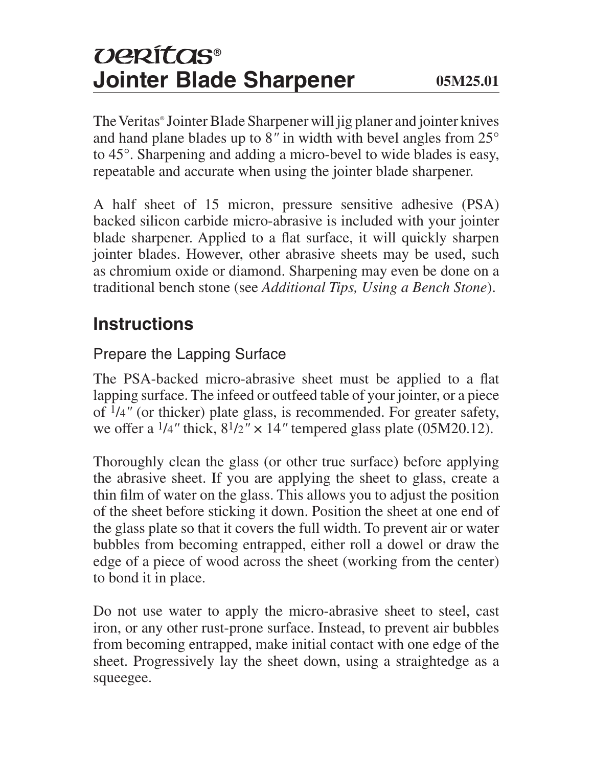# *UERÍTOS®* **Jointer Blade Sharpener 05M25.01**

The Veritas® Jointer Blade Sharpener will jig planer and jointer knives and hand plane blades up to 8*"* in width with bevel angles from 25° to 45°. Sharpening and adding a micro-bevel to wide blades is easy, repeatable and accurate when using the jointer blade sharpener.

A half sheet of 15 micron, pressure sensitive adhesive (PSA) backed silicon carbide micro-abrasive is included with your jointer blade sharpener. Applied to a flat surface, it will quickly sharpen jointer blades. However, other abrasive sheets may be used, such as chromium oxide or diamond. Sharpening may even be done on a traditional bench stone (see *Additional Tips, Using a Bench Stone*).

## **Instructions**

#### Prepare the Lapping Surface

The PSA-backed micro-abrasive sheet must be applied to a flat lapping surface. The infeed or outfeed table of your jointer, or a piece of 1/4*"* (or thicker) plate glass, is recommended. For greater safety, we offer a  $\frac{1}{4}$ " thick,  $\frac{81}{2}$ " × 14" tempered glass plate (05M20.12).

Thoroughly clean the glass (or other true surface) before applying the abrasive sheet. If you are applying the sheet to glass, create a thin film of water on the glass. This allows you to adjust the position of the sheet before sticking it down. Position the sheet at one end of the glass plate so that it covers the full width. To prevent air or water bubbles from becoming entrapped, either roll a dowel or draw the edge of a piece of wood across the sheet (working from the center) to bond it in place.

Do not use water to apply the micro-abrasive sheet to steel, cast iron, or any other rust-prone surface. Instead, to prevent air bubbles from becoming entrapped, make initial contact with one edge of the sheet. Progressively lay the sheet down, using a straightedge as a squeegee.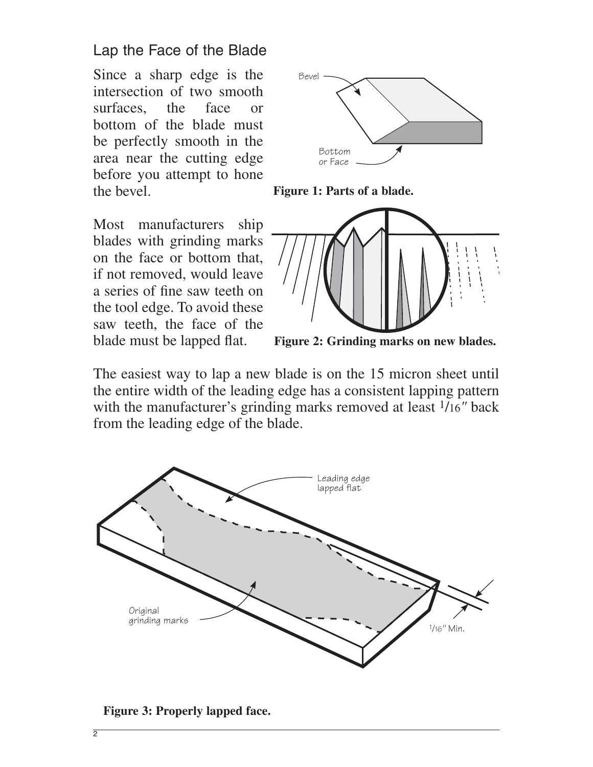#### Lap the Face of the Blade

Since a sharp edge is the intersection of two smooth surfaces, the face or bottom of the blade must be perfectly smooth in the area near the cutting edge before you attempt to hone the bevel.





Most manufacturers ship blades with grinding marks on the face or bottom that, if not removed, would leave a series of fine saw teeth on the tool edge. To avoid these saw teeth, the face of the blade must be lapped flat.



**Figure 2: Grinding marks on new blades.**

The easiest way to lap a new blade is on the 15 micron sheet until the entire width of the leading edge has a consistent lapping pattern with the manufacturer's grinding marks removed at least 1/16*"* back from the leading edge of the blade.



**Figure 3: Properly lapped face.**

 $\overline{2}$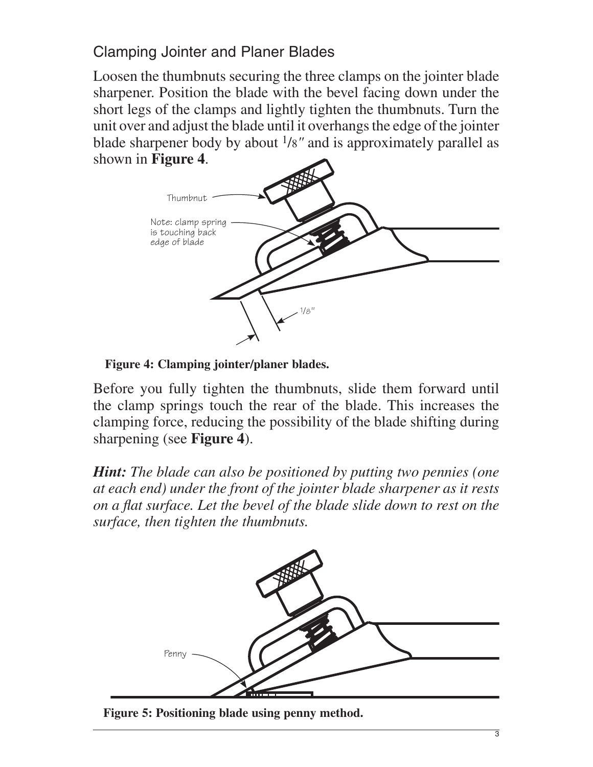Clamping Jointer and Planer Blades

Loosen the thumbnuts securing the three clamps on the jointer blade sharpener. Position the blade with the bevel facing down under the short legs of the clamps and lightly tighten the thumbnuts. Turn the unit over and adjust the blade until it overhangs the edge of the jointer blade sharpener body by about 1/8*"* and is approximately parallel as shown in **Figure 4**.



**Figure 4: Clamping jointer/planer blades.**

Before you fully tighten the thumbnuts, slide them forward until the clamp springs touch the rear of the blade. This increases the clamping force, reducing the possibility of the blade shifting during sharpening (see **Figure 4**).

*Hint: The blade can also be positioned by putting two pennies (one at each end) under the front of the jointer blade sharpener as it rests on a flat surface. Let the bevel of the blade slide down to rest on the surface, then tighten the thumbnuts.*



**Figure 5: Positioning blade using penny method.**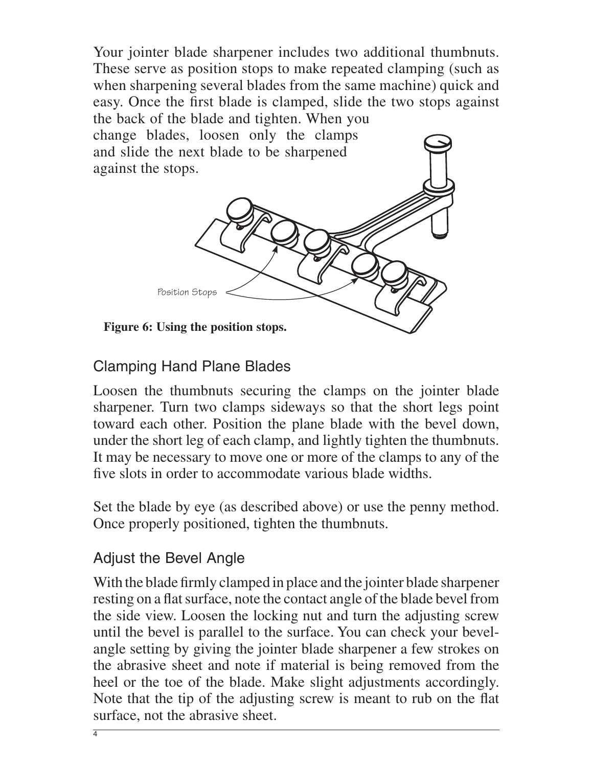Your jointer blade sharpener includes two additional thumbnuts. These serve as position stops to make repeated clamping (such as when sharpening several blades from the same machine) quick and easy. Once the first blade is clamped, slide the two stops against the back of the blade and tighten. When you change blades, loosen only the clamps

and slide the next blade to be sharpened against the stops.



#### Clamping Hand Plane Blades

Loosen the thumbnuts securing the clamps on the jointer blade sharpener. Turn two clamps sideways so that the short legs point toward each other. Position the plane blade with the bevel down, under the short leg of each clamp, and lightly tighten the thumbnuts. It may be necessary to move one or more of the clamps to any of the five slots in order to accommodate various blade widths.

Set the blade by eye (as described above) or use the penny method. Once properly positioned, tighten the thumbnuts.

#### Adjust the Bevel Angle

With the blade firmly clamped in place and the jointer blade sharpener resting on a flat surface, note the contact angle of the blade bevel from the side view. Loosen the locking nut and turn the adjusting screw until the bevel is parallel to the surface. You can check your bevelangle setting by giving the jointer blade sharpener a few strokes on the abrasive sheet and note if material is being removed from the heel or the toe of the blade. Make slight adjustments accordingly. Note that the tip of the adjusting screw is meant to rub on the flat surface, not the abrasive sheet.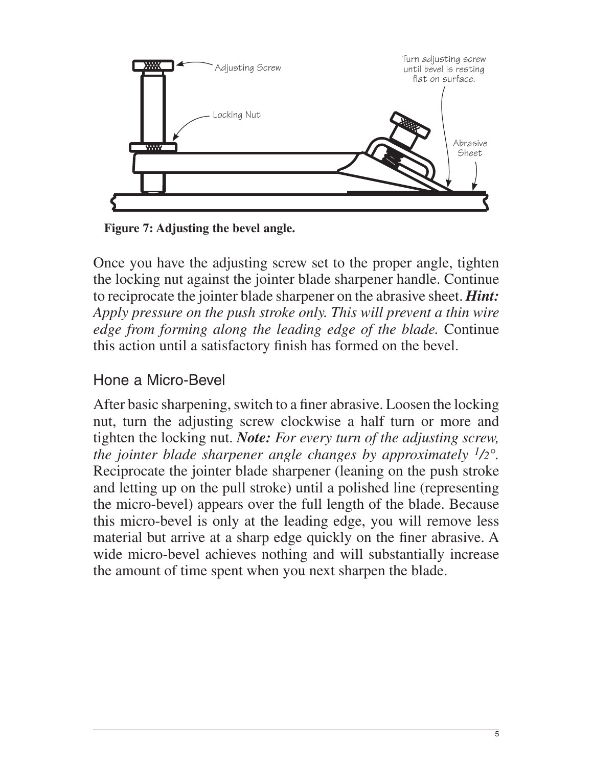

**Figure 7: Adjusting the bevel angle.**

Once you have the adjusting screw set to the proper angle, tighten the locking nut against the jointer blade sharpener handle. Continue to reciprocate the jointer blade sharpener on the abrasive sheet. *Hint: Apply pressure on the push stroke only. This will prevent a thin wire edge from forming along the leading edge of the blade.* Continue this action until a satisfactory finish has formed on the bevel.

#### Hone a Micro-Bevel

After basic sharpening, switch to a finer abrasive. Loosen the locking nut, turn the adjusting screw clockwise a half turn or more and tighten the locking nut. *Note: For every turn of the adjusting screw, the jointer blade sharpener angle changes by approximately 1/2°.* Reciprocate the jointer blade sharpener (leaning on the push stroke and letting up on the pull stroke) until a polished line (representing the micro-bevel) appears over the full length of the blade. Because this micro-bevel is only at the leading edge, you will remove less material but arrive at a sharp edge quickly on the finer abrasive. A wide micro-bevel achieves nothing and will substantially increase the amount of time spent when you next sharpen the blade.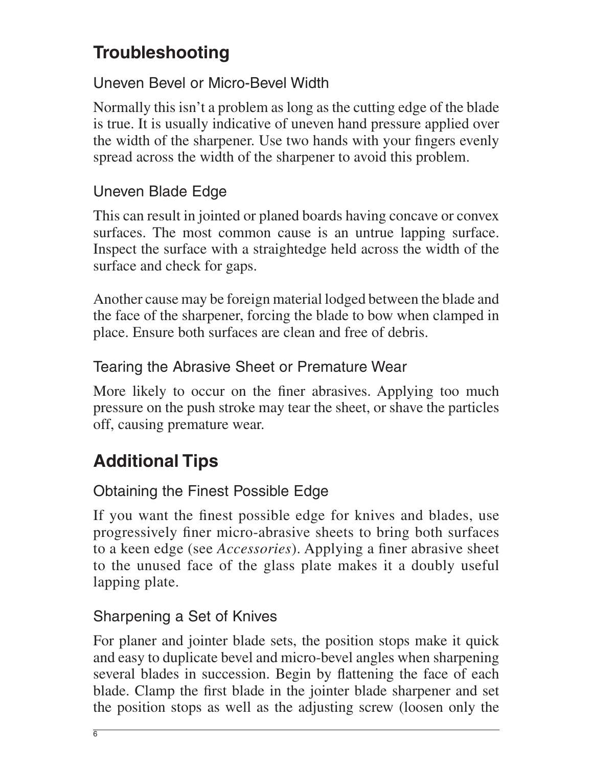# **Troubleshooting**

#### Uneven Bevel or Micro-Bevel Width

Normally this isn't a problem as long as the cutting edge of the blade is true. It is usually indicative of uneven hand pressure applied over the width of the sharpener. Use two hands with your fingers evenly spread across the width of the sharpener to avoid this problem.

#### Uneven Blade Edge

This can result in jointed or planed boards having concave or convex surfaces. The most common cause is an untrue lapping surface. Inspect the surface with a straightedge held across the width of the surface and check for gaps.

Another cause may be foreign material lodged between the blade and the face of the sharpener, forcing the blade to bow when clamped in place. Ensure both surfaces are clean and free of debris.

#### Tearing the Abrasive Sheet or Premature Wear

More likely to occur on the finer abrasives. Applying too much pressure on the push stroke may tear the sheet, or shave the particles off, causing premature wear.

# **Additional Tips**

### Obtaining the Finest Possible Edge

If you want the finest possible edge for knives and blades, use progressively finer micro-abrasive sheets to bring both surfaces to a keen edge (see *Accessories*). Applying a finer abrasive sheet to the unused face of the glass plate makes it a doubly useful lapping plate.

#### Sharpening a Set of Knives

For planer and jointer blade sets, the position stops make it quick and easy to duplicate bevel and micro-bevel angles when sharpening several blades in succession. Begin by flattening the face of each blade. Clamp the first blade in the jointer blade sharpener and set the position stops as well as the adjusting screw (loosen only the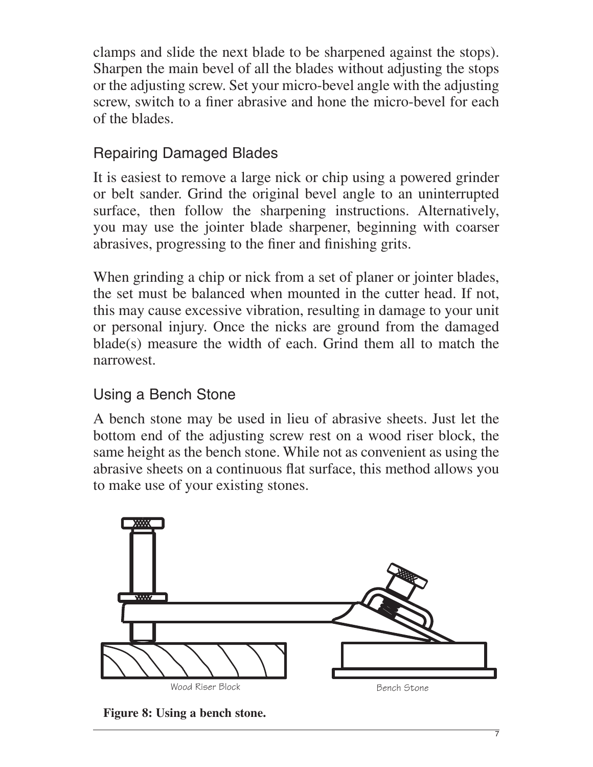clamps and slide the next blade to be sharpened against the stops). Sharpen the main bevel of all the blades without adjusting the stops or the adjusting screw. Set your micro-bevel angle with the adjusting screw, switch to a finer abrasive and hone the micro-bevel for each of the blades.

#### Repairing Damaged Blades

It is easiest to remove a large nick or chip using a powered grinder or belt sander. Grind the original bevel angle to an uninterrupted surface, then follow the sharpening instructions. Alternatively, you may use the jointer blade sharpener, beginning with coarser abrasives, progressing to the finer and finishing grits.

When grinding a chip or nick from a set of planer or jointer blades, the set must be balanced when mounted in the cutter head. If not, this may cause excessive vibration, resulting in damage to your unit or personal injury. Once the nicks are ground from the damaged blade(s) measure the width of each. Grind them all to match the narrowest.

#### Using a Bench Stone

A bench stone may be used in lieu of abrasive sheets. Just let the bottom end of the adjusting screw rest on a wood riser block, the same height as the bench stone. While not as convenient as using the abrasive sheets on a continuous flat surface, this method allows you to make use of your existing stones.



**Figure 8: Using a bench stone.**